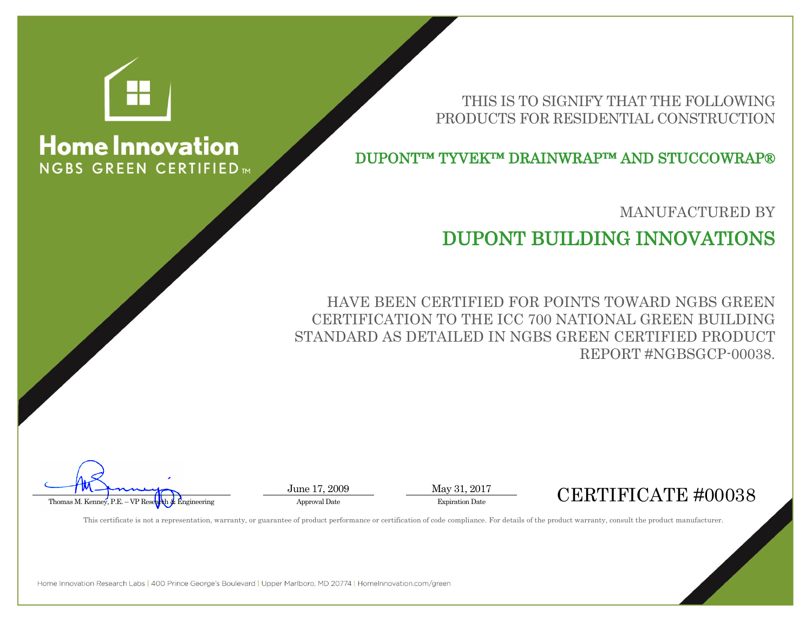

## **Home Innovation NGBS GREEN CERTIFIED**

THIS IS TO SIGNIFY THAT THE FOLLOWING PRODUCTS FOR RESIDENTIAL CONSTRUCTION

DUPONT™ TYVEK™ DRAINWRAP™ AND STUCCOWRAP®

MANUFACTURED BY

## DUPONT BUILDING INNOVATIONS

HAVE BEEN CERTIFIED FOR POINTS TOWARD NGBS GREEN CERTIFICATION TO THE ICC 700 NATIONAL GREEN BUILDING STANDARD AS DETAILED IN NGBS GREEN CERTIFIED PRODUCT REPORT #NGBSGCP-00038.



June 17, 2009 May 31, 2017

This certificate is not a representation, warranty, or guarantee of product performance or certification of code compliance. For details of the product warranty, consult the product manufacturer.

Home Innovation Research Labs | 400 Prince George's Boulevard | Upper Marlboro, MD 20774 | HomeInnovation.com/green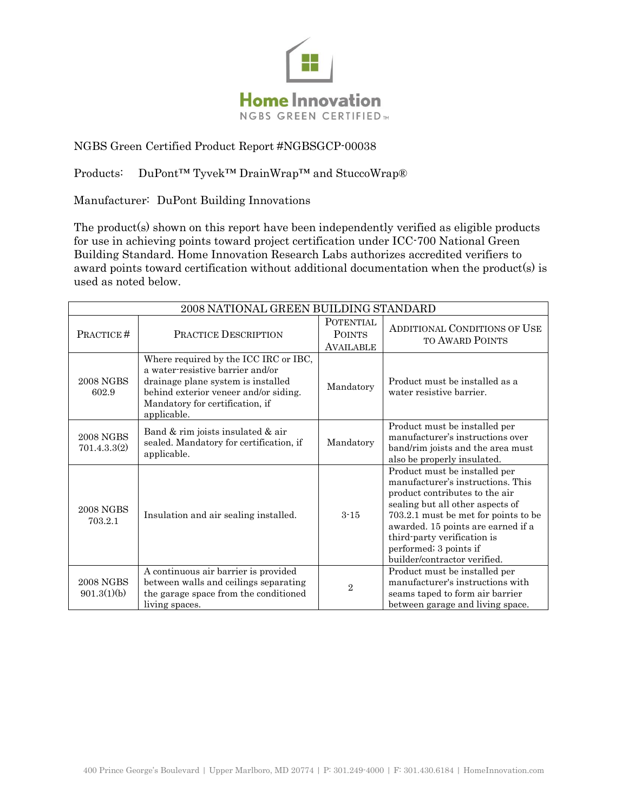

## NGBS Green Certified Product Report #NGBSGCP-00038

Products: DuPont<sup>™</sup> Tyvek™ DrainWrap™ and StuccoWrap®

Manufacturer: DuPont Building Innovations

The product(s) shown on this report have been independently verified as eligible products for use in achieving points toward project certification under ICC-700 National Green Building Standard. Home Innovation Research Labs authorizes accredited verifiers to award points toward certification without additional documentation when the product(s) is used as noted below.

| 2008 NATIONAL GREEN BUILDING STANDARD |                                                                                                                                                                                                            |                                                       |                                                                                                                                                                                                                                                                                                                 |  |
|---------------------------------------|------------------------------------------------------------------------------------------------------------------------------------------------------------------------------------------------------------|-------------------------------------------------------|-----------------------------------------------------------------------------------------------------------------------------------------------------------------------------------------------------------------------------------------------------------------------------------------------------------------|--|
| PRACTICE#                             | <b>PRACTICE DESCRIPTION</b>                                                                                                                                                                                | <b>POTENTIAL</b><br><b>POINTS</b><br><b>AVAILABLE</b> | <b>ADDITIONAL CONDITIONS OF USE</b><br><b>TO AWARD POINTS</b>                                                                                                                                                                                                                                                   |  |
| <b>2008 NGBS</b><br>602.9             | Where required by the ICC IRC or IBC,<br>a water-resistive barrier and/or<br>drainage plane system is installed<br>behind exterior veneer and/or siding.<br>Mandatory for certification, if<br>applicable. | Mandatory                                             | Product must be installed as a<br>water resistive barrier.                                                                                                                                                                                                                                                      |  |
| <b>2008 NGBS</b><br>701.4.3.3(2)      | Band & rim joists insulated & air<br>sealed. Mandatory for certification, if<br>applicable.                                                                                                                | Mandatory                                             | Product must be installed per<br>manufacturer's instructions over<br>band/rim joists and the area must<br>also be properly insulated.                                                                                                                                                                           |  |
| <b>2008 NGBS</b><br>703.2.1           | Insulation and air sealing installed.                                                                                                                                                                      | $3 - 15$                                              | Product must be installed per<br>manufacturer's instructions. This<br>product contributes to the air<br>sealing but all other aspects of<br>703.2.1 must be met for points to be<br>awarded. 15 points are earned if a<br>third-party verification is<br>performed; 3 points if<br>builder/contractor verified. |  |
| <b>2008 NGBS</b><br>901.3(1)(b)       | A continuous air barrier is provided<br>between walls and ceilings separating<br>the garage space from the conditioned<br>living spaces.                                                                   | $\overline{2}$                                        | Product must be installed per<br>manufacturer's instructions with<br>seams taped to form air barrier<br>between garage and living space.                                                                                                                                                                        |  |